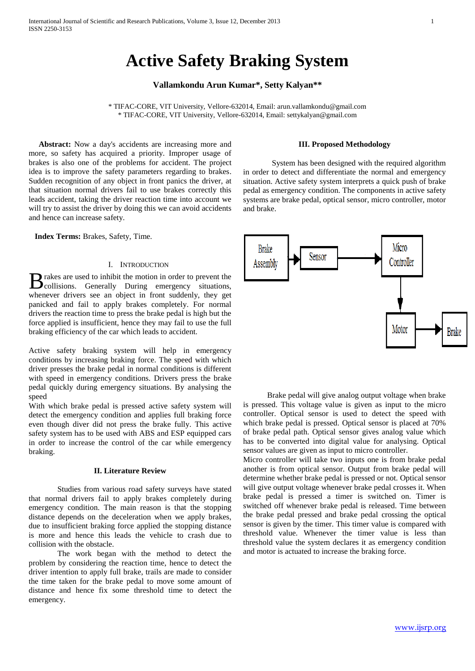# **Active Safety Braking System**

# **Vallamkondu Arun Kumar\*, Setty Kalyan\*\***

\* TIFAC-CORE, VIT University, Vellore-632014, Email[: arun.vallamkondu@gmail.com](mailto:arun.vallamkondu@gmail.com) \* TIFAC-CORE, VIT University, Vellore-632014, Email: [settykalyan@gmail.com](mailto:settykalyan@gmail.com)

 **Abstract:** Now a day's accidents are increasing more and more, so safety has acquired a priority. Improper usage of brakes is also one of the problems for accident. The project idea is to improve the safety parameters regarding to brakes. Sudden recognition of any object in front panics the driver, at that situation normal drivers fail to use brakes correctly this leads accident, taking the driver reaction time into account we will try to assist the driver by doing this we can avoid accidents and hence can increase safety.

**Index Terms:** Brakes, Safety, Time.

## I. INTRODUCTION

rakes are used to inhibit the motion in order to prevent the B rakes are used to inhibit the motion in order to prevent the collisions. Generally During emergency situations, whenever drivers see an object in front suddenly, they get panicked and fail to apply brakes completely. For normal drivers the reaction time to press the brake pedal is high but the force applied is insufficient, hence they may fail to use the full braking efficiency of the car which leads to accident.

Active safety braking system will help in emergency conditions by increasing braking force. The speed with which driver presses the brake pedal in normal conditions is different with speed in emergency conditions. Drivers press the brake pedal quickly during emergency situations. By analysing the speed

With which brake pedal is pressed active safety system will detect the emergency condition and applies full braking force even though diver did not press the brake fully. This active safety system has to be used with ABS and ESP equipped cars in order to increase the control of the car while emergency braking.

# **II. Literature Review**

Studies from various road safety surveys have stated that normal drivers fail to apply brakes completely during emergency condition. The main reason is that the stopping distance depends on the deceleration when we apply brakes, due to insufficient braking force applied the stopping distance is more and hence this leads the vehicle to crash due to collision with the obstacle.

The work began with the method to detect the problem by considering the reaction time, hence to detect the driver intention to apply full brake, trails are made to consider the time taken for the brake pedal to move some amount of distance and hence fix some threshold time to detect the emergency.

#### **III. Proposed Methodology**

System has been designed with the required algorithm in order to detect and differentiate the normal and emergency situation. Active safety system interprets a quick push of brake pedal as emergency condition. The components in active safety systems are brake pedal, optical sensor, micro controller, motor and brake.



 Brake pedal will give analog output voltage when brake is pressed. This voltage value is given as input to the micro controller. Optical sensor is used to detect the speed with which brake pedal is pressed. Optical sensor is placed at 70% of brake pedal path. Optical sensor gives analog value which has to be converted into digital value for analysing. Optical sensor values are given as input to micro controller.

Micro controller will take two inputs one is from brake pedal another is from optical sensor. Output from brake pedal will determine whether brake pedal is pressed or not. Optical sensor will give output voltage whenever brake pedal crosses it. When brake pedal is pressed a timer is switched on. Timer is switched off whenever brake pedal is released. Time between the brake pedal pressed and brake pedal crossing the optical sensor is given by the timer. This timer value is compared with threshold value. Whenever the timer value is less than threshold value the system declares it as emergency condition and motor is actuated to increase the braking force.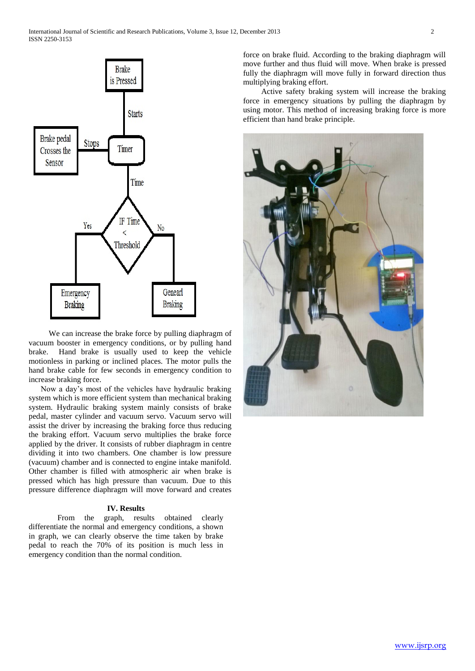

 We can increase the brake force by pulling diaphragm of vacuum booster in emergency conditions, or by pulling hand brake. Hand brake is usually used to keep the vehicle motionless in parking or inclined places. The motor pulls the hand brake cable for few seconds in emergency condition to increase braking force.

 Now a day's most of the vehicles have hydraulic braking system which is more efficient system than mechanical braking system. Hydraulic braking system mainly consists of brake pedal, master cylinder and vacuum servo. Vacuum servo will assist the driver by increasing the braking force thus reducing the braking effort. Vacuum servo multiplies the brake force applied by the driver. It consists of rubber diaphragm in centre dividing it into two chambers. One chamber is low pressure (vacuum) chamber and is connected to engine intake manifold. Other chamber is filled with atmospheric air when brake is pressed which has high pressure than vacuum. Due to this pressure difference diaphragm will move forward and creates

## **IV. Results**

From the graph, results obtained clearly differentiate the normal and emergency conditions, a shown in graph, we can clearly observe the time taken by brake pedal to reach the 70% of its position is much less in emergency condition than the normal condition.

force on brake fluid. According to the braking diaphragm will move further and thus fluid will move. When brake is pressed fully the diaphragm will move fully in forward direction thus multiplying braking effort.

 Active safety braking system will increase the braking force in emergency situations by pulling the diaphragm by using motor. This method of increasing braking force is more efficient than hand brake principle.